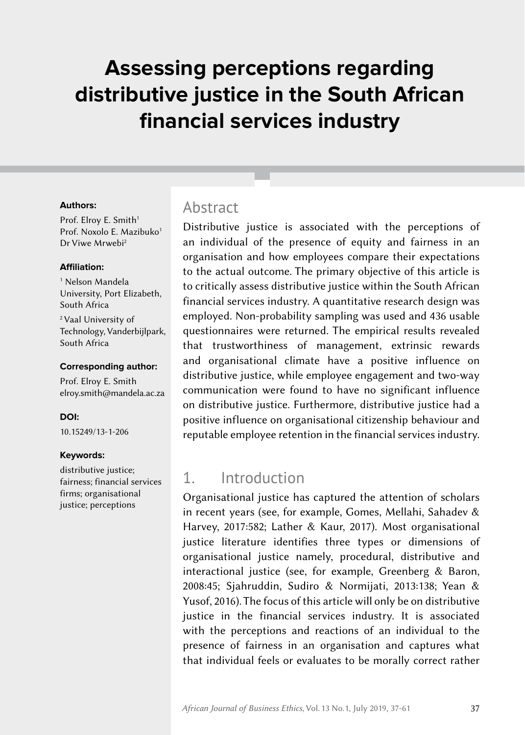# **Assessing perceptions regarding distributive justice in the South African financial services industry**

#### **Authors:**

Prof. Elroy E. Smith<sup>1</sup> Prof. Noxolo E. Mazibuko<sup>1</sup> Dr Viwe Mrwebi2

#### **Affiliation:**

1 Nelson Mandela University, Port Elizabeth, South Africa

2 Vaal University of Technology, Vanderbijlpark, South Africa

#### **Corresponding author:**

Prof. Elroy E. Smith [elroy.smith@mandela.ac.za](mailto:elroy.smith%40mandela.ac.za?subject=)

#### **DOI:**

[10.15249/13-1-206](https://doi.org/10.15249/13-1-206)

#### **Keywords:**

distributive justice; fairness; financial services firms; organisational justice; perceptions

### **Abstract**

Distributive justice is associated with the perceptions of an individual of the presence of equity and fairness in an organisation and how employees compare their expectations to the actual outcome. The primary objective of this article is to critically assess distributive justice within the South African financial services industry. A quantitative research design was employed. Non‑probability sampling was used and 436 usable questionnaires were returned. The empirical results revealed that trustworthiness of management, extrinsic rewards and organisational climate have a positive influence on distributive justice, while employee engagement and two-way communication were found to have no significant influence on distributive justice. Furthermore, distributive justice had a positive influence on organisational citizenship behaviour and reputable employee retention in the financial services industry.

### 1. Introduction

Organisational justice has captured the attention of scholars in recent years (see, for example, Gomes, Mellahi, Sahadev & Harvey, 2017:582; Lather & Kaur, 2017). Most organisational justice literature identifies three types or dimensions of organisational justice namely, procedural, distributive and interactional justice (see, for example, Greenberg & Baron, 2008:45; Sjahruddin, Sudiro & Normijati, 2013:138; Yean & Yusof, 2016). The focus of this article will only be on distributive justice in the financial services industry. It is associated with the perceptions and reactions of an individual to the presence of fairness in an organisation and captures what that individual feels or evaluates to be morally correct rather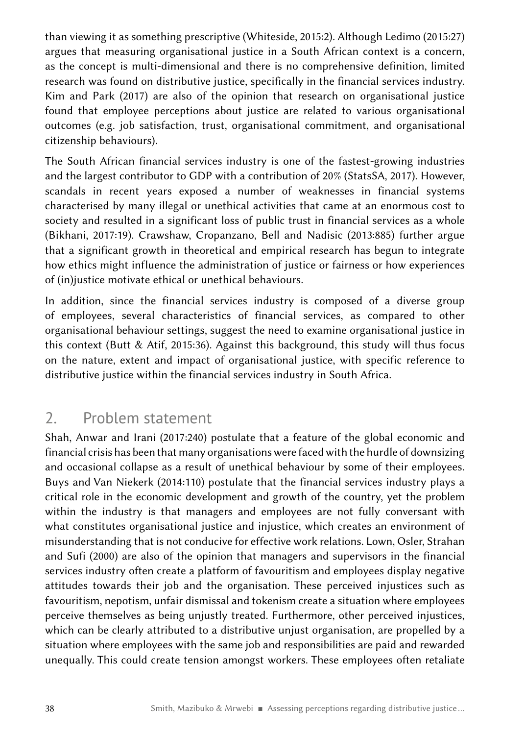than viewing it as something prescriptive (Whiteside, 2015:2). Although Ledimo (2015:27) argues that measuring organisational justice in a South African context is a concern, as the concept is multi-dimensional and there is no comprehensive definition, limited research was found on distributive justice, specifically in the financial services industry. Kim and Park (2017) are also of the opinion that research on organisational justice found that employee perceptions about justice are related to various organisational outcomes (e.g. job satisfaction, trust, organisational commitment, and organisational citizenship behaviours).

The South African financial services industry is one of the fastest-growing industries and the largest contributor to GDP with a contribution of 20% (StatsSA, 2017). However, scandals in recent years exposed a number of weaknesses in financial systems characterised by many illegal or unethical activities that came at an enormous cost to society and resulted in a significant loss of public trust in financial services as a whole (Bikhani, 2017:19). Crawshaw, Cropanzano, Bell and Nadisic (2013:885) further argue that a significant growth in theoretical and empirical research has begun to integrate how ethics might influence the administration of justice or fairness or how experiences of (in)justice motivate ethical or unethical behaviours.

In addition, since the financial services industry is composed of a diverse group of employees, several characteristics of financial services, as compared to other organisational behaviour settings, suggest the need to examine organisational justice in this context (Butt & Atif, 2015:36). Against this background, this study will thus focus on the nature, extent and impact of organisational justice, with specific reference to distributive justice within the financial services industry in South Africa.

### 2. Problem statement

Shah, Anwar and Irani (2017:240) postulate that a feature of the global economic and financial crisis has been that many organisations were faced with the hurdle of downsizing and occasional collapse as a result of unethical behaviour by some of their employees. Buys and Van Niekerk (2014:110) postulate that the financial services industry plays a critical role in the economic development and growth of the country, yet the problem within the industry is that managers and employees are not fully conversant with what constitutes organisational justice and injustice, which creates an environment of misunderstanding that is not conducive for effective work relations. Lown, Osler, Strahan and Sufi (2000) are also of the opinion that managers and supervisors in the financial services industry often create a platform of favouritism and employees display negative attitudes towards their job and the organisation. These perceived injustices such as favouritism, nepotism, unfair dismissal and tokenism create a situation where employees perceive themselves as being unjustly treated. Furthermore, other perceived injustices, which can be clearly attributed to a distributive unjust organisation, are propelled by a situation where employees with the same job and responsibilities are paid and rewarded unequally. This could create tension amongst workers. These employees often retaliate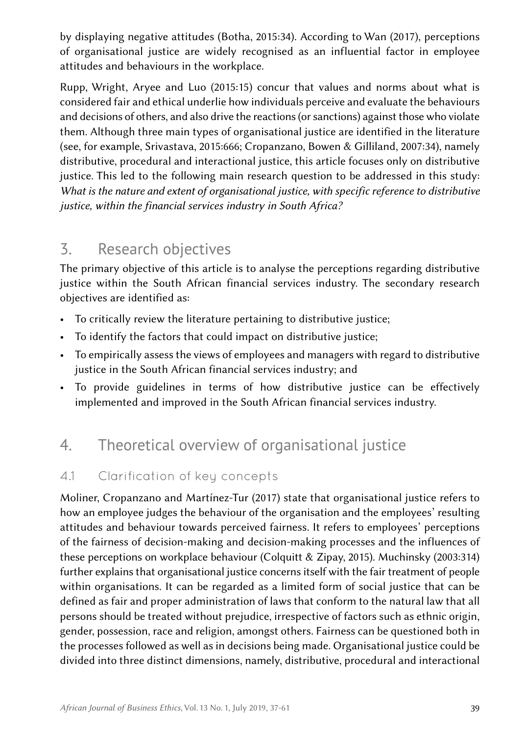by displaying negative attitudes (Botha, 2015:34). According to Wan (2017), perceptions of organisational justice are widely recognised as an influential factor in employee attitudes and behaviours in the workplace.

Rupp, Wright, Aryee and Luo (2015:15) concur that values and norms about what is considered fair and ethical underlie how individuals perceive and evaluate the behaviours and decisions of others, and also drive the reactions (or sanctions) against those who violate them. Although three main types of organisational justice are identified in the literature (see, for example, Srivastava, 2015:666; Cropanzano, Bowen & Gilliland, 2007:34), namely distributive, procedural and interactional justice, this article focuses only on distributive justice. This led to the following main research question to be addressed in this study: *What is the nature and extent of organisational justice, with specific reference to distributive justice, within the financial services industry in South Africa?* 

## 3. Research objectives

The primary objective of this article is to analyse the perceptions regarding distributive justice within the South African financial services industry. The secondary research objectives are identified as:

- To critically review the literature pertaining to distributive justice;
- To identify the factors that could impact on distributive justice;
- To empirically assess the views of employees and managers with regard to distributive justice in the South African financial services industry; and
- To provide guidelines in terms of how distributive justice can be effectively implemented and improved in the South African financial services industry.

## 4. Theoretical overview of organisational justice

### 4.1 Clarification of key concepts

Moliner, Cropanzano and Martínez-Tur (2017) state that organisational justice refers to how an employee judges the behaviour of the organisation and the employees' resulting attitudes and behaviour towards perceived fairness. It refers to employees' perceptions of the fairness of decision-making and decision-making processes and the influences of these perceptions on workplace behaviour (Colquitt & Zipay, 2015). Muchinsky (2003:314) further explains that organisational justice concerns itself with the fair treatment of people within organisations. It can be regarded as a limited form of social justice that can be defined as fair and proper administration of laws that conform to the natural law that all persons should be treated without prejudice, irrespective of factors such as ethnic origin, gender, possession, race and religion, amongst others. Fairness can be questioned both in the processes followed as well as in decisions being made. Organisational justice could be divided into three distinct dimensions, namely, distributive, procedural and interactional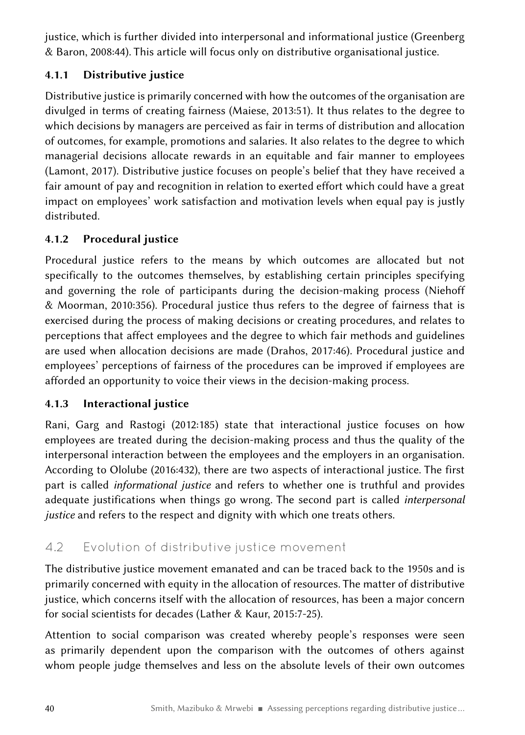justice, which is further divided into interpersonal and informational justice (Greenberg & Baron, 2008:44). This article will focus only on distributive organisational justice.

### 4.1.1 Distributive justice

Distributive justice is primarily concerned with how the outcomes of the organisation are divulged in terms of creating fairness (Maiese, 2013:51). It thus relates to the degree to which decisions by managers are perceived as fair in terms of distribution and allocation of outcomes, for example, promotions and salaries. It also relates to the degree to which managerial decisions allocate rewards in an equitable and fair manner to employees (Lamont, 2017). Distributive justice focuses on people's belief that they have received a fair amount of pay and recognition in relation to exerted effort which could have a great impact on employees' work satisfaction and motivation levels when equal pay is justly distributed.

### 4.1.2 Procedural justice

Procedural justice refers to the means by which outcomes are allocated but not specifically to the outcomes themselves, by establishing certain principles specifying and governing the role of participants during the decision-making process (Niehoff & Moorman, 2010:356). Procedural justice thus refers to the degree of fairness that is exercised during the process of making decisions or creating procedures, and relates to perceptions that affect employees and the degree to which fair methods and guidelines are used when allocation decisions are made (Drahos, 2017:46). Procedural justice and employees' perceptions of fairness of the procedures can be improved if employees are afforded an opportunity to voice their views in the decision-making process.

#### 4.1.3 Interactional justice

Rani, Garg and Rastogi (2012:185) state that interactional justice focuses on how employees are treated during the decision-making process and thus the quality of the interpersonal interaction between the employees and the employers in an organisation. According to Ololube (2016:432), there are two aspects of interactional justice. The first part is called *informational justice* and refers to whether one is truthful and provides adequate justifications when things go wrong. The second part is called *interpersonal justice* and refers to the respect and dignity with which one treats others.

### 4.2 Evolution of distributive justice movement

The distributive justice movement emanated and can be traced back to the 1950s and is primarily concerned with equity in the allocation of resources. The matter of distributive justice, which concerns itself with the allocation of resources, has been a major concern for social scientists for decades (Lather & Kaur, 2015:7‑25).

Attention to social comparison was created whereby people's responses were seen as primarily dependent upon the comparison with the outcomes of others against whom people judge themselves and less on the absolute levels of their own outcomes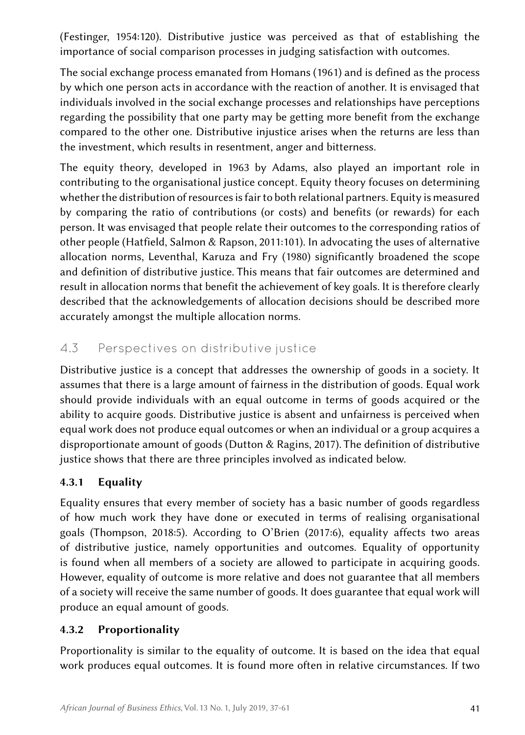(Festinger, 1954:120). Distributive justice was perceived as that of establishing the importance of social comparison processes in judging satisfaction with outcomes.

The social exchange process emanated from Homans (1961) and is defined as the process by which one person acts in accordance with the reaction of another. It is envisaged that individuals involved in the social exchange processes and relationships have perceptions regarding the possibility that one party may be getting more benefit from the exchange compared to the other one. Distributive injustice arises when the returns are less than the investment, which results in resentment, anger and bitterness.

The equity theory, developed in 1963 by Adams, also played an important role in contributing to the organisational justice concept. Equity theory focuses on determining whether the distribution of resources is fair to both relational partners. Equity is measured by comparing the ratio of contributions (or costs) and benefits (or rewards) for each person. It was envisaged that people relate their outcomes to the corresponding ratios of other people (Hatfield, Salmon & Rapson, 2011:101). In advocating the uses of alternative allocation norms, Leventhal, Karuza and Fry (1980) significantly broadened the scope and definition of distributive justice. This means that fair outcomes are determined and result in allocation norms that benefit the achievement of key goals. It is therefore clearly described that the acknowledgements of allocation decisions should be described more accurately amongst the multiple allocation norms.

### 4.3 Perspectives on distributive justice

Distributive justice is a concept that addresses the ownership of goods in a society. It assumes that there is a large amount of fairness in the distribution of goods. Equal work should provide individuals with an equal outcome in terms of goods acquired or the ability to acquire goods. Distributive justice is absent and unfairness is perceived when equal work does not produce equal outcomes or when an individual or a group acquires a disproportionate amount of goods (Dutton & Ragins, 2017). The definition of distributive justice shows that there are three principles involved as indicated below.

#### 4.3.1 Equality

Equality ensures that every member of society has a basic number of goods regardless of how much work they have done or executed in terms of realising organisational goals (Thompson, 2018:5). According to O'Brien (2017:6), equality affects two areas of distributive justice, namely opportunities and outcomes. Equality of opportunity is found when all members of a society are allowed to participate in acquiring goods. However, equality of outcome is more relative and does not guarantee that all members of a society will receive the same number of goods. It does guarantee that equal work will produce an equal amount of goods.

#### 4.3.2 Proportionality

Proportionality is similar to the equality of outcome. It is based on the idea that equal work produces equal outcomes. It is found more often in relative circumstances. If two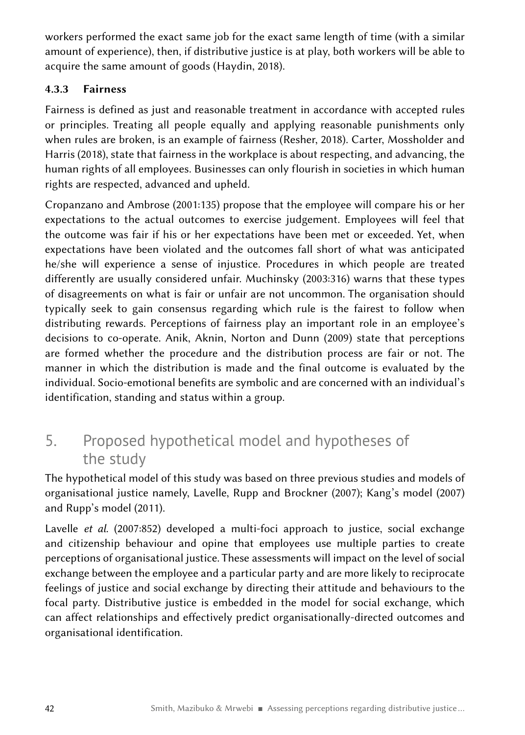workers performed the exact same job for the exact same length of time (with a similar amount of experience), then, if distributive justice is at play, both workers will be able to acquire the same amount of goods (Haydin, 2018).

#### 4.3.3 Fairness

Fairness is defined as just and reasonable treatment in accordance with accepted rules or principles. Treating all people equally and applying reasonable punishments only when rules are broken, is an example of fairness (Resher, 2018). Carter, Mossholder and Harris (2018), state that fairness in the workplace is about respecting, and advancing, the human rights of all employees. Businesses can only flourish in societies in which human rights are respected, advanced and upheld.

Cropanzano and Ambrose (2001:135) propose that the employee will compare his or her expectations to the actual outcomes to exercise judgement. Employees will feel that the outcome was fair if his or her expectations have been met or exceeded. Yet, when expectations have been violated and the outcomes fall short of what was anticipated he/she will experience a sense of injustice. Procedures in which people are treated differently are usually considered unfair. Muchinsky (2003:316) warns that these types of disagreements on what is fair or unfair are not uncommon. The organisation should typically seek to gain consensus regarding which rule is the fairest to follow when distributing rewards. Perceptions of fairness play an important role in an employee's decisions to co-operate. Anik, Aknin, Norton and Dunn (2009) state that perceptions are formed whether the procedure and the distribution process are fair or not. The manner in which the distribution is made and the final outcome is evaluated by the individual. Socio-emotional benefits are symbolic and are concerned with an individual's identification, standing and status within a group.

## 5. Proposed hypothetical model and hypotheses of the study

The hypothetical model of this study was based on three previous studies and models of organisational justice namely, Lavelle, Rupp and Brockner (2007); Kang's model (2007) and Rupp's model (2011).

Lavelle *et al*. (2007:852) developed a multi-foci approach to justice, social exchange and citizenship behaviour and opine that employees use multiple parties to create perceptions of organisational justice. These assessments will impact on the level of social exchange between the employee and a particular party and are more likely to reciprocate feelings of justice and social exchange by directing their attitude and behaviours to the focal party. Distributive justice is embedded in the model for social exchange, which can affect relationships and effectively predict organisationally-directed outcomes and organisational identification.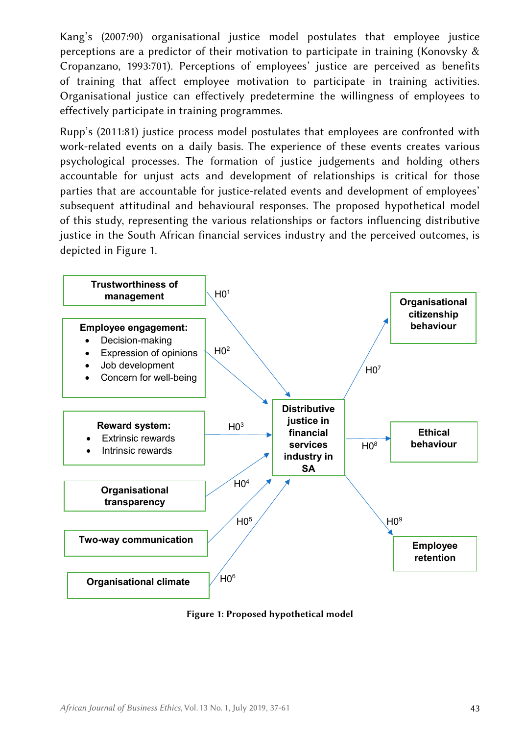Kang's (2007:90) organisational justice model postulates that employee justice perceptions are a predictor of their motivation to participate in training (Konovsky & Cropanzano, 1993:701). Perceptions of employees' justice are perceived as benefits of training that affect employee motivation to participate in training activities. Organisational justice can effectively predetermine the willingness of employees to effectively participate in training programmes.

Rupp's (2011:81) justice process model postulates that employees are confronted with work-related events on a daily basis. The experience of these events creates various psychological processes. The formation of justice judgements and holding others accountable for unjust acts and development of relationships is critical for those parties that are accountable for justice-related events and development of employees' subsequent attitudinal and behavioural responses. The proposed hypothetical model of this study, representing the various relationships or factors influencing distributive justice in the South African financial services industry and the perceived outcomes, is depicted in Figure 1.



Figure 1: Proposed hypothetical model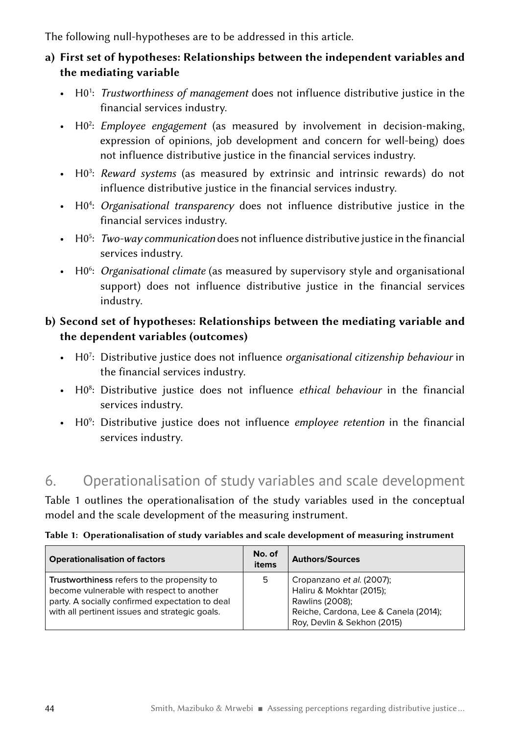The following null-hypotheses are to be addressed in this article.

### a) First set of hypotheses: Relationships between the independent variables and the mediating variable

- H0<sup>1</sup>: Trustworthiness of management does not influence distributive justice in the financial services industry.
- H02 : *Employee engagement* (as measured by involvement in decision-making, expression of opinions, job development and concern for well-being) does not influence distributive justice in the financial services industry.
- H03 : *Reward systems* (as measured by extrinsic and intrinsic rewards) do not influence distributive justice in the financial services industry.
- H04 : *Organisational transparency* does not influence distributive justice in the financial services industry.
- H05 : *Two‑way communication* does not influence distributive justice in the financial services industry.
- H0<sup>6</sup>: Organisational climate (as measured by supervisory style and organisational support) does not influence distributive justice in the financial services industry.

#### b) Second set of hypotheses: Relationships between the mediating variable and the dependent variables (outcomes)

- H07 : Distributive justice does not influence *organisational citizenship behaviour* in the financial services industry.
- H08 : Distributive justice does not influence *ethical behaviour* in the financial services industry.
- H09 : Distributive justice does not influence *employee retention* in the financial services industry.

### 6. Operationalisation of study variables and scale development

Table 1 outlines the operationalisation of the study variables used in the conceptual model and the scale development of the measuring instrument.

|  |  |  |  | Table 1: Operationalisation of study variables and scale development of measuring instrument |
|--|--|--|--|----------------------------------------------------------------------------------------------|
|--|--|--|--|----------------------------------------------------------------------------------------------|

| <b>Operationalisation of factors</b>                                                                                                                                                          | No. of<br>items | <b>Authors/Sources</b>                                                                                                                           |
|-----------------------------------------------------------------------------------------------------------------------------------------------------------------------------------------------|-----------------|--------------------------------------------------------------------------------------------------------------------------------------------------|
| Trustworthiness refers to the propensity to<br>become vulnerable with respect to another<br>party. A socially confirmed expectation to deal<br>with all pertinent issues and strategic goals. | 5               | Cropanzano et al. (2007);<br>Haliru & Mokhtar (2015);<br>Rawlins (2008);<br>Reiche, Cardona, Lee & Canela (2014);<br>Roy, Devlin & Sekhon (2015) |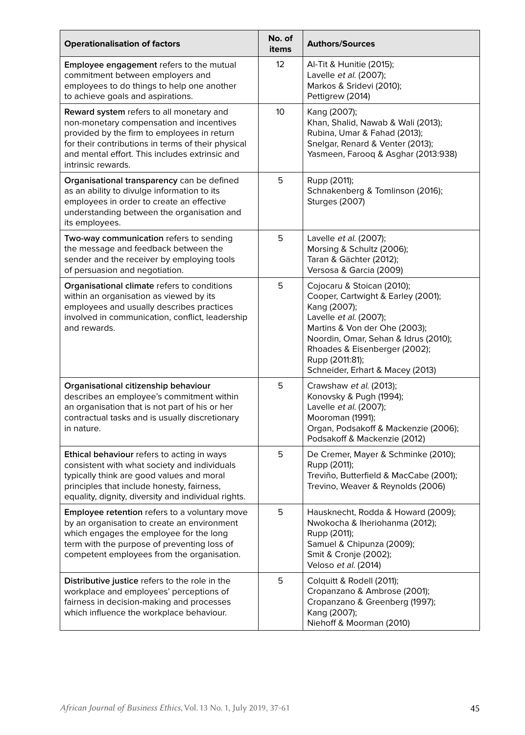| <b>Operationalisation of factors</b>                                                                                                                                                                                                                              | No. of<br>items | <b>Authors/Sources</b>                                                                                                                                                                                                                                                      |
|-------------------------------------------------------------------------------------------------------------------------------------------------------------------------------------------------------------------------------------------------------------------|-----------------|-----------------------------------------------------------------------------------------------------------------------------------------------------------------------------------------------------------------------------------------------------------------------------|
| Employee engagement refers to the mutual<br>commitment between employers and<br>employees to do things to help one another<br>to achieve goals and aspirations.                                                                                                   | 12 <sup>°</sup> | Al-Tit & Hunitie (2015);<br>Lavelle et al. (2007);<br>Markos & Sridevi (2010);<br>Pettigrew (2014)                                                                                                                                                                          |
| Reward system refers to all monetary and<br>non-monetary compensation and incentives<br>provided by the firm to employees in return<br>for their contributions in terms of their physical<br>and mental effort. This includes extrinsic and<br>intrinsic rewards. | 10              | Kang (2007);<br>Khan, Shalid, Nawab & Wali (2013);<br>Rubina, Umar & Fahad (2013);<br>Snelgar, Renard & Venter (2013);<br>Yasmeen, Farooq & Asghar (2013:938)                                                                                                               |
| Organisational transparency can be defined<br>as an ability to divulge information to its<br>employees in order to create an effective<br>understanding between the organisation and<br>its employees.                                                            | 5               | Rupp (2011);<br>Schnakenberg & Tomlinson (2016);<br>Sturges (2007)                                                                                                                                                                                                          |
| Two-way communication refers to sending<br>the message and feedback between the<br>sender and the receiver by employing tools<br>of persuasion and negotiation.                                                                                                   | 5               | Lavelle et al. (2007);<br>Morsing & Schultz (2006);<br>Taran & Gächter (2012);<br>Versosa & Garcia (2009)                                                                                                                                                                   |
| Organisational climate refers to conditions<br>within an organisation as viewed by its<br>employees and usually describes practices<br>involved in communication, conflict, leadership<br>and rewards.                                                            | 5               | Cojocaru & Stoican (2010);<br>Cooper, Cartwight & Earley (2001);<br>Kang (2007);<br>Lavelle et al. (2007);<br>Martins & Von der Ohe (2003);<br>Noordin, Omar, Sehan & Idrus (2010);<br>Rhoades & Eisenberger (2002);<br>Rupp (2011:81);<br>Schneider, Erhart & Macey (2013) |
| Organisational citizenship behaviour<br>describes an employee's commitment within<br>an organisation that is not part of his or her<br>contractual tasks and is usually discretionary<br>in nature.                                                               | 5               | Crawshaw et al. (2013);<br>Konovsky & Pugh (1994);<br>Lavelle et al. (2007);<br>Mooroman (1991);<br>Organ, Podsakoff & Mackenzie (2006);<br>Podsakoff & Mackenzie (2012)                                                                                                    |
| Ethical behaviour refers to acting in ways<br>consistent with what society and individuals<br>typically think are good values and moral<br>principles that include honesty, fairness,<br>equality, dignity, diversity and individual rights.                      | 5               | De Cremer, Mayer & Schminke (2010);<br>Rupp (2011);<br>Treviño, Butterfield & MacCabe (2001);<br>Trevino, Weaver & Reynolds (2006)                                                                                                                                          |
| Employee retention refers to a voluntary move<br>by an organisation to create an environment<br>which engages the employee for the long<br>term with the purpose of preventing loss of<br>competent employees from the organisation.                              | 5               | Hausknecht, Rodda & Howard (2009);<br>Nwokocha & Iheriohanma (2012);<br>Rupp (2011);<br>Samuel & Chipunza (2009);<br>Smit & Cronje (2002);<br>Veloso et al. (2014)                                                                                                          |
| Distributive justice refers to the role in the<br>workplace and employees' perceptions of<br>fairness in decision-making and processes<br>which influence the workplace behaviour.                                                                                | 5               | Colquitt & Rodell (2011);<br>Cropanzano & Ambrose (2001);<br>Cropanzano & Greenberg (1997);<br>Kang (2007);<br>Niehoff & Moorman (2010)                                                                                                                                     |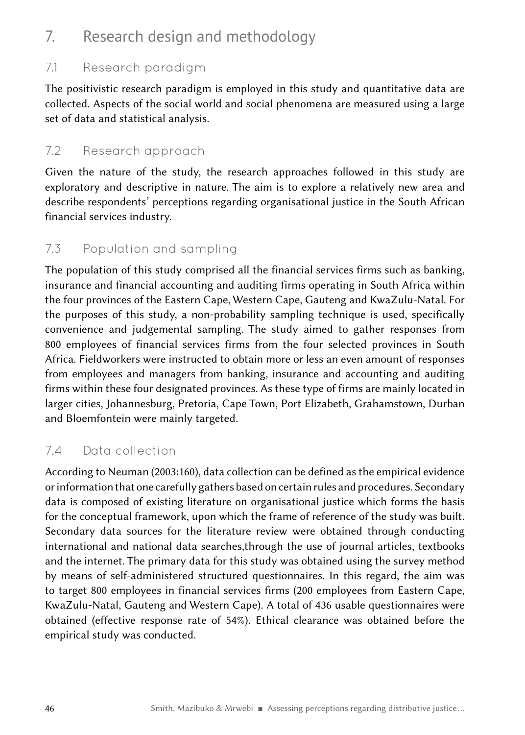### 7. Research design and methodology

### 7.1 Research paradigm

The positivistic research paradigm is employed in this study and quantitative data are collected. Aspects of the social world and social phenomena are measured using a large set of data and statistical analysis.

### 7.2 Research approach

Given the nature of the study, the research approaches followed in this study are exploratory and descriptive in nature. The aim is to explore a relatively new area and describe respondents' perceptions regarding organisational justice in the South African financial services industry.

### 7.3 Population and sampling

The population of this study comprised all the financial services firms such as banking, insurance and financial accounting and auditing firms operating in South Africa within the four provinces of the Eastern Cape, Western Cape, Gauteng and KwaZulu-Natal. For the purposes of this study, a non‑probability sampling technique is used, specifically convenience and judgemental sampling. The study aimed to gather responses from 800 employees of financial services firms from the four selected provinces in South Africa. Fieldworkers were instructed to obtain more or less an even amount of responses from employees and managers from banking, insurance and accounting and auditing firms within these four designated provinces. As these type of firms are mainly located in larger cities, Johannesburg, Pretoria, Cape Town, Port Elizabeth, Grahamstown, Durban and Bloemfontein were mainly targeted.

### 7.4 Data collection

According to Neuman (2003:160), data collection can be defined as the empirical evidence or information that one carefully gathers based on certain rules and procedures. Secondary data is composed of existing literature on organisational justice which forms the basis for the conceptual framework, upon which the frame of reference of the study was built. Secondary data sources for the literature review were obtained through conducting international and national data searches,through the use of journal articles, textbooks and the internet. The primary data for this study was obtained using the survey method by means of self-administered structured questionnaires. In this regard, the aim was to target 800 employees in financial services firms (200 employees from Eastern Cape, KwaZulu-Natal, Gauteng and Western Cape). A total of 436 usable questionnaires were obtained (effective response rate of 54%). Ethical clearance was obtained before the empirical study was conducted.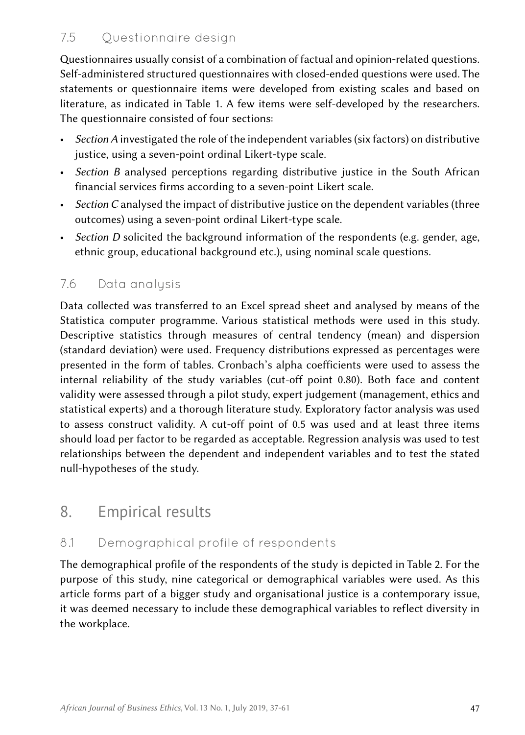### 7.5 Questionnaire design

Questionnaires usually consist of a combination of factual and opinion-related questions. Self-administered structured questionnaires with closed-ended questions were used. The statements or questionnaire items were developed from existing scales and based on literature, as indicated in Table 1. A few items were self-developed by the researchers. The questionnaire consisted of four sections:

- *Section A* investigated the role of the independent variables (six factors) on distributive justice, using a seven-point ordinal Likert-type scale.
- *Section B* analysed perceptions regarding distributive justice in the South African financial services firms according to a seven-point Likert scale.
- *Section C* analysed the impact of distributive justice on the dependent variables (three outcomes) using a seven-point ordinal Likert-type scale.
- *Section D* solicited the background information of the respondents (e.g. gender, age, ethnic group, educational background etc.), using nominal scale questions.

### 7.6 Data analysis

Data collected was transferred to an Excel spread sheet and analysed by means of the Statistica computer programme. Various statistical methods were used in this study. Descriptive statistics through measures of central tendency (mean) and dispersion (standard deviation) were used. Frequency distributions expressed as percentages were presented in the form of tables. Cronbach's alpha coefficients were used to assess the internal reliability of the study variables (cut-off point 0.80). Both face and content validity were assessed through a pilot study, expert judgement (management, ethics and statistical experts) and a thorough literature study. Exploratory factor analysis was used to assess construct validity. A cut-off point of 0.5 was used and at least three items should load per factor to be regarded as acceptable. Regression analysis was used to test relationships between the dependent and independent variables and to test the stated null-hypotheses of the study.

### 8. Empirical results

### 8.1 Demographical profile of respondents

The demographical profile of the respondents of the study is depicted in Table 2. For the purpose of this study, nine categorical or demographical variables were used. As this article forms part of a bigger study and organisational justice is a contemporary issue, it was deemed necessary to include these demographical variables to reflect diversity in the workplace.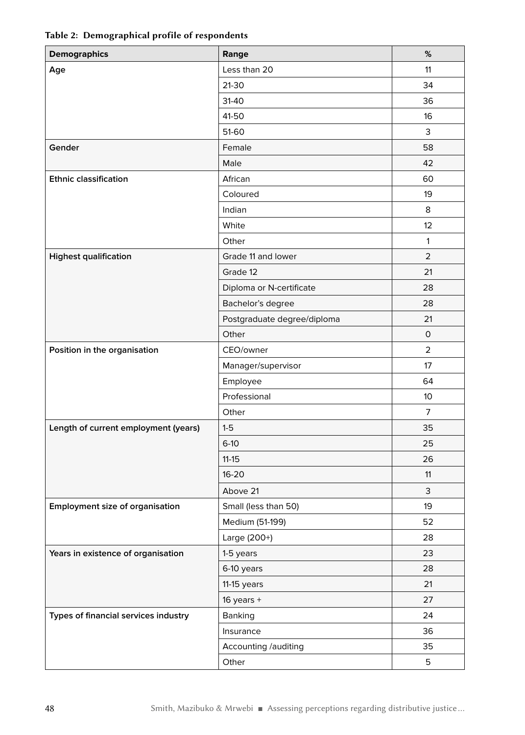| <b>Demographics</b>                  | Range                       | %              |
|--------------------------------------|-----------------------------|----------------|
| Age                                  | Less than 20                | 11             |
|                                      | 21-30                       | 34             |
|                                      | 31-40                       | 36             |
|                                      | 41-50                       | 16             |
|                                      | 51-60                       | 3              |
| Gender                               | Female                      | 58             |
|                                      | Male                        | 42             |
| <b>Ethnic classification</b>         | African                     | 60             |
|                                      | Coloured                    | 19             |
|                                      | Indian                      | 8              |
|                                      | White                       | 12             |
|                                      | Other                       | $\mathbf{1}$   |
| <b>Highest qualification</b>         | Grade 11 and lower          | $\overline{2}$ |
|                                      | Grade 12                    | 21             |
|                                      | Diploma or N-certificate    | 28             |
|                                      | Bachelor's degree           | 28             |
|                                      | Postgraduate degree/diploma | 21             |
|                                      | Other                       | 0              |
| Position in the organisation         | CEO/owner                   | $\overline{2}$ |
|                                      | Manager/supervisor          | 17             |
|                                      | Employee                    | 64             |
|                                      | Professional                | 10             |
|                                      | Other                       | 7              |
| Length of current employment (years) | $1-5$                       | 35             |
|                                      | $6-10$                      | 25             |
|                                      | $11 - 15$                   | 26             |
|                                      | $16 - 20$                   | 11             |
|                                      | Above 21                    | 3              |
| Employment size of organisation      | Small (less than 50)        | 19             |
|                                      | Medium (51-199)             | 52             |
|                                      | Large (200+)                | 28             |
| Years in existence of organisation   | 1-5 years                   | 23             |
|                                      | 6-10 years                  | 28             |
|                                      | 11-15 years                 | 21             |
|                                      | $16$ years +                | 27             |
| Types of financial services industry | Banking                     | 24             |
|                                      | Insurance                   | 36             |
|                                      | Accounting /auditing        | 35             |
|                                      | Other                       | 5              |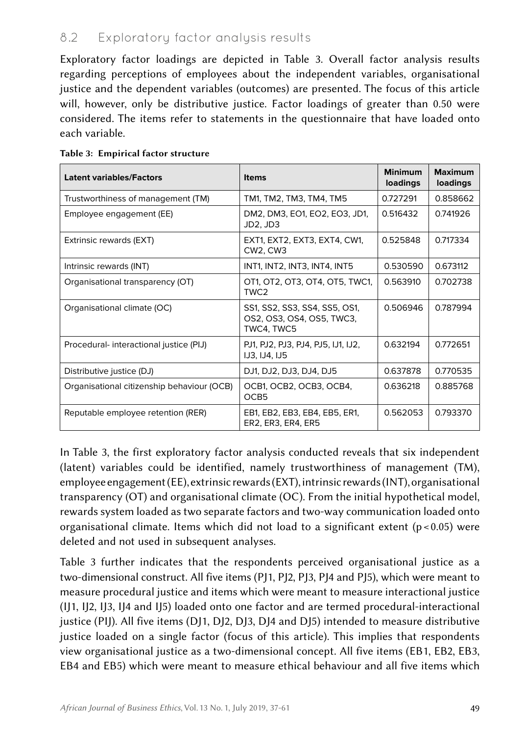### 8.2 Exploratory factor analysis results

Exploratory factor loadings are depicted in Table 3. Overall factor analysis results regarding perceptions of employees about the independent variables, organisational justice and the dependent variables (outcomes) are presented. The focus of this article will, however, only be distributive justice. Factor loadings of greater than 0.50 were considered. The items refer to statements in the questionnaire that have loaded onto each variable.

| <b>Latent variables/Factors</b>            | <b>Items</b>                                                             | <b>Minimum</b><br>loadings | <b>Maximum</b><br>loadings |
|--------------------------------------------|--------------------------------------------------------------------------|----------------------------|----------------------------|
| Trustworthiness of management (TM)         | TM1, TM2, TM3, TM4, TM5                                                  | 0.727291                   | 0.858662                   |
| Employee engagement (EE)                   | DM2, DM3, EO1, EO2, EO3, JD1,<br>JD2, JD3                                | 0.516432                   | 0.741926                   |
| Extrinsic rewards (EXT)                    | EXT1, EXT2, EXT3, EXT4, CW1,<br><b>CW2. CW3</b>                          | 0.525848                   | 0.717334                   |
| Intrinsic rewards (INT)                    | INT1, INT2, INT3, INT4, INT5                                             | 0.530590                   | 0.673112                   |
| Organisational transparency (OT)           | OT1, OT2, OT3, OT4, OT5, TWC1,<br>TWC <sub>2</sub>                       | 0.563910                   | 0.702738                   |
| Organisational climate (OC)                | SS1, SS2, SS3, SS4, SS5, OS1,<br>OS2, OS3, OS4, OS5, TWC3,<br>TWC4, TWC5 | 0.506946                   | 0.787994                   |
| Procedural-interactional justice (PIJ)     | PJ1, PJ2, PJ3, PJ4, PJ5, IJ1, IJ2,<br><b>IJ3, IJ4, IJ5</b>               | 0.632194                   | 0.772651                   |
| Distributive justice (DJ)                  | DJ1, DJ2, DJ3, DJ4, DJ5                                                  | 0.637878                   | 0.770535                   |
| Organisational citizenship behaviour (OCB) | OCB1, OCB2, OCB3, OCB4,<br>OCB5                                          | 0.636218                   | 0.885768                   |
| Reputable employee retention (RER)         | EB1, EB2, EB3, EB4, EB5, ER1,<br>ER2, ER3, ER4, ER5                      | 0.562053                   | 0.793370                   |

#### Table 3: Empirical factor structure

In Table 3, the first exploratory factor analysis conducted reveals that six independent (latent) variables could be identified, namely trustworthiness of management (TM), employee engagement (EE), extrinsic rewards (EXT), intrinsic rewards (INT), organisational transparency (OT) and organisational climate (OC). From the initial hypothetical model, rewards system loaded as two separate factors and two‑way communication loaded onto organisational climate. Items which did not load to a significant extent ( $p < 0.05$ ) were deleted and not used in subsequent analyses.

Table 3 further indicates that the respondents perceived organisational justice as a two-dimensional construct. All five items (PJ1, PJ2, PJ3, PJ4 and PJ5), which were meant to measure procedural justice and items which were meant to measure interactional justice (IJ1, IJ2, IJ3, IJ4 and IJ5) loaded onto one factor and are termed procedural-interactional justice (PIJ). All five items (DJ1, DJ2, DJ3, DJ4 and DJ5) intended to measure distributive justice loaded on a single factor (focus of this article). This implies that respondents view organisational justice as a two-dimensional concept. All five items (EB1, EB2, EB3, EB4 and EB5) which were meant to measure ethical behaviour and all five items which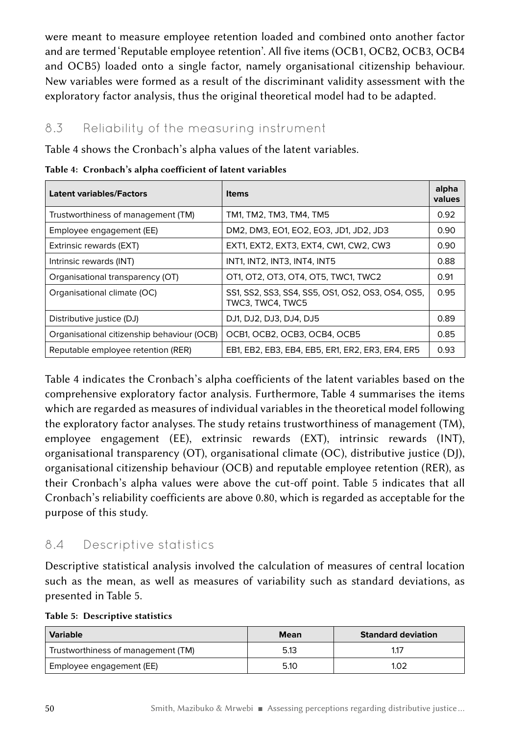were meant to measure employee retention loaded and combined onto another factor and are termed 'Reputable employee retention'. All five items (OCB1, OCB2, OCB3, OCB4 and OCB5) loaded onto a single factor, namely organisational citizenship behaviour. New variables were formed as a result of the discriminant validity assessment with the exploratory factor analysis, thus the original theoretical model had to be adapted.

### 8.3 Reliability of the measuring instrument

Table 4 shows the Cronbach's alpha values of the latent variables.

| <b>Latent variables/Factors</b>            | <b>Items</b>                                                          | alpha<br>values |
|--------------------------------------------|-----------------------------------------------------------------------|-----------------|
| Trustworthiness of management (TM)         | TM1, TM2, TM3, TM4, TM5                                               | 0.92            |
| Employee engagement (EE)                   | DM2, DM3, EO1, EO2, EO3, JD1, JD2, JD3                                | 0.90            |
| Extrinsic rewards (EXT)                    | EXT1, EXT2, EXT3, EXT4, CW1, CW2, CW3                                 | 0.90            |
| Intrinsic rewards (INT)                    | INT1. INT2. INT3. INT4. INT5                                          | 0.88            |
| Organisational transparency (OT)           | OT1, OT2, OT3, OT4, OT5, TWC1, TWC2                                   | 0.91            |
| Organisational climate (OC)                | SS1, SS2, SS3, SS4, SS5, OS1, OS2, OS3, OS4, OS5,<br>TWC3. TWC4. TWC5 | 0.95            |
| Distributive justice (DJ)                  | DJ1, DJ2, DJ3, DJ4, DJ5                                               | 0.89            |
| Organisational citizenship behaviour (OCB) | OCB1, OCB2, OCB3, OCB4, OCB5                                          | 0.85            |
| Reputable employee retention (RER)         | EB1, EB2, EB3, EB4, EB5, ER1, ER2, ER3, ER4, ER5                      | 0.93            |

Table 4: Cronbach's alpha coefficient of latent variables

Table 4 indicates the Cronbach's alpha coefficients of the latent variables based on the comprehensive exploratory factor analysis. Furthermore, Table 4 summarises the items which are regarded as measures of individual variables in the theoretical model following the exploratory factor analyses. The study retains trustworthiness of management (TM), employee engagement (EE), extrinsic rewards (EXT), intrinsic rewards (INT), organisational transparency (OT), organisational climate (OC), distributive justice (DJ), organisational citizenship behaviour (OCB) and reputable employee retention (RER), as their Cronbach's alpha values were above the cut‑off point. Table 5 indicates that all Cronbach's reliability coefficients are above 0.80, which is regarded as acceptable for the purpose of this study.

### 8.4 Descriptive statistics

Descriptive statistical analysis involved the calculation of measures of central location such as the mean, as well as measures of variability such as standard deviations, as presented in Table 5.

|  | Table 5: Descriptive statistics |  |
|--|---------------------------------|--|
|--|---------------------------------|--|

| Variable                           | Mean | <b>Standard deviation</b> |
|------------------------------------|------|---------------------------|
| Trustworthiness of management (TM) | 5.13 | 11.                       |
| Employee engagement (EE)           | 5.10 | I.O2                      |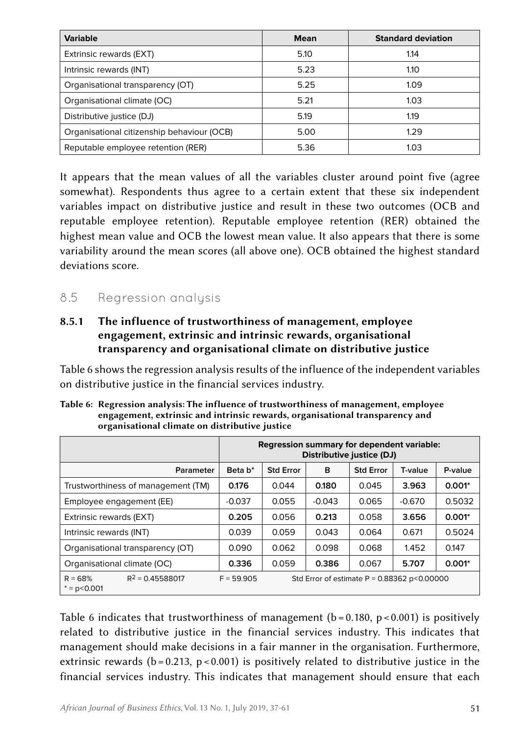| <b>Variable</b>                            | <b>Mean</b> | <b>Standard deviation</b> |
|--------------------------------------------|-------------|---------------------------|
| Extrinsic rewards (EXT)                    | 5.10        | 1.14                      |
| Intrinsic rewards (INT)                    | 5.23        | 1.10                      |
| Organisational transparency (OT)           | 5.25        | 1.09                      |
| Organisational climate (OC)                | 5.21        | 1.03                      |
| Distributive justice (DJ)                  | 5.19        | 1.19                      |
| Organisational citizenship behaviour (OCB) | 5.00        | 1.29                      |
| Reputable employee retention (RER)         | 5.36        | 1.03                      |

It appears that the mean values of all the variables cluster around point five (agree somewhat). Respondents thus agree to a certain extent that these six independent variables impact on distributive justice and result in these two outcomes (OCB and reputable employee retention). Reputable employee retention (RER) obtained the highest mean value and OCB the lowest mean value. It also appears that there is some variability around the mean scores (all above one). OCB obtained the highest standard deviations score.

### 8.5 Regression analysis

#### 8.5.1 The influence of trustworthiness of management, employee engagement, extrinsic and intrinsic rewards, organisational transparency and organisational climate on distributive justice

Table 6 shows the regression analysis results of the influence of the independent variables on distributive justice in the financial services industry.

|                                                    |                     | Regression summary for dependent variable:<br>Distributive justice (DJ) |          |                  |          |          |
|----------------------------------------------------|---------------------|-------------------------------------------------------------------------|----------|------------------|----------|----------|
| Parameter                                          | Beta b <sup>*</sup> | <b>Std Error</b>                                                        | в        | <b>Std Error</b> | T-value  | P-value  |
| Trustworthiness of management (TM)                 | 0.176               | 0.044                                                                   | 0.180    | 0.045            | 3.963    | $0.001*$ |
| Employee engagement (EE)                           | $-0.037$            | 0.055                                                                   | $-0.043$ | 0.065            | $-0.670$ | 0.5032   |
| Extrinsic rewards (EXT)                            | 0.205               | 0.056                                                                   | 0.213    | 0.058            | 3.656    | $0.001*$ |
| Intrinsic rewards (INT)                            | 0.039               | 0.059                                                                   | 0.043    | 0.064            | 0.671    | 0.5024   |
| Organisational transparency (OT)                   | 0.090               | 0.062                                                                   | 0.098    | 0.068            | 1.452    | 0.147    |
| Organisational climate (OC)                        | 0.336               | 0.059                                                                   | 0.386    | 0.067            | 5.707    | $0.001*$ |
| $R^2 = 0.45588017$<br>$R = 68%$<br>$* = p < 0.001$ | $F = 59.905$        | Std Error of estimate $P = 0.88362$ p<0.00000                           |          |                  |          |          |

Table 6: Regression analysis: The influence of trustworthiness of management, employee engagement, extrinsic and intrinsic rewards, organisational transparency and organisational climate on distributive justice

Table 6 indicates that trustworthiness of management ( $b = 0.180$ ,  $p < 0.001$ ) is positively related to distributive justice in the financial services industry. This indicates that management should make decisions in a fair manner in the organisation. Furthermore, extrinsic rewards ( $b = 0.213$ ,  $p < 0.001$ ) is positively related to distributive justice in the financial services industry. This indicates that management should ensure that each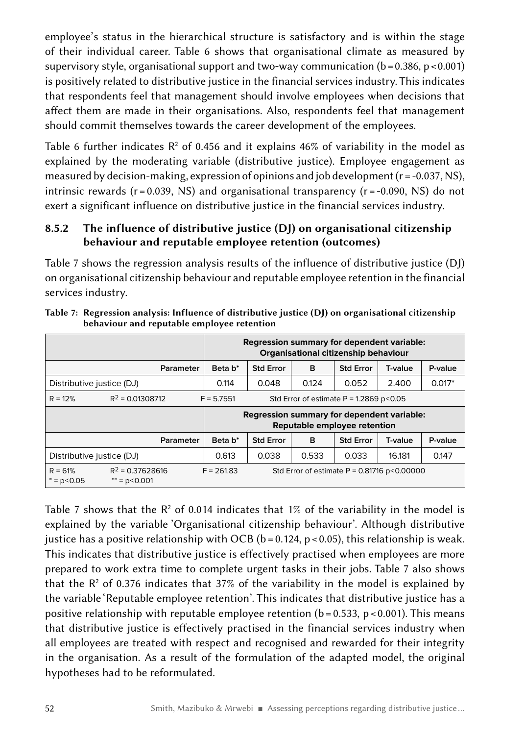employee's status in the hierarchical structure is satisfactory and is within the stage of their individual career. Table 6 shows that organisational climate as measured by supervisory style, organisational support and two-way communication ( $b = 0.386$ ,  $p < 0.001$ ) is positively related to distributive justice in the financial services industry. This indicates that respondents feel that management should involve employees when decisions that affect them are made in their organisations. Also, respondents feel that management should commit themselves towards the career development of the employees.

Table 6 further indicates  $\mathsf{R}^2$  of 0.456 and it explains 46% of variability in the model as explained by the moderating variable (distributive justice). Employee engagement as measured by decision-making, expression of opinions and job development  $(r = -0.037, NS)$ , intrinsic rewards ( $r = 0.039$ , NS) and organisational transparency ( $r = -0.090$ , NS) do not exert a significant influence on distributive justice in the financial services industry.

#### 8.5.2 The influence of distributive justice (DJ) on organisational citizenship behaviour and reputable employee retention (outcomes)

Table 7 shows the regression analysis results of the influence of distributive justice (DJ) on organisational citizenship behaviour and reputable employee retention in the financial services industry.

|                                                                        |                                        | Regression summary for dependent variable:<br>Organisational citizenship behaviour |                  |          |                  |         |         |
|------------------------------------------------------------------------|----------------------------------------|------------------------------------------------------------------------------------|------------------|----------|------------------|---------|---------|
|                                                                        | Parameter                              | Beta b <sup>*</sup>                                                                | <b>Std Error</b> | B        | <b>Std Error</b> | T-value | P-value |
| 0.124<br>0.114<br>0.048<br>0.052<br>2.400<br>Distributive justice (DJ) |                                        |                                                                                    |                  | $0.017*$ |                  |         |         |
| $R = 12%$                                                              | $R^2 = 0.01308712$                     | $F = 5.7551$<br>Std Error of estimate $P = 1.2869$ p<0.05                          |                  |          |                  |         |         |
|                                                                        |                                        | Regression summary for dependent variable:<br>Reputable employee retention         |                  |          |                  |         |         |
|                                                                        | Parameter                              | Beta b <sup>*</sup>                                                                | <b>Std Error</b> | B        | <b>Std Error</b> | T-value | P-value |
| Distributive justice (DJ)                                              |                                        | 0.613                                                                              | 0.038            | 0.533    | 0.033            | 16.181  | 0.147   |
| $R = 61%$<br>$* = p < 0.05$                                            | $R^2$ = 0.37628616<br>$** = p < 0.001$ | $F = 261.83$<br>Std Error of estimate $P = 0.81716$ p<0.00000                      |                  |          |                  |         |         |

Table 7: Regression analysis: Influence of distributive justice (DJ) on organisational citizenship behaviour and reputable employee retention

Table 7 shows that the  $R^2$  of 0.014 indicates that 1% of the variability in the model is explained by the variable 'Organisational citizenship behaviour'. Although distributive justice has a positive relationship with OCB ( $b = 0.124$ ,  $p < 0.05$ ), this relationship is weak. This indicates that distributive justice is effectively practised when employees are more prepared to work extra time to complete urgent tasks in their jobs. Table 7 also shows that the  $R<sup>2</sup>$  of 0.376 indicates that 37% of the variability in the model is explained by the variable 'Reputable employee retention'. This indicates that distributive justice has a positive relationship with reputable employee retention ( $b = 0.533$ , p $\lt 0.001$ ). This means that distributive justice is effectively practised in the financial services industry when all employees are treated with respect and recognised and rewarded for their integrity in the organisation. As a result of the formulation of the adapted model, the original hypotheses had to be reformulated.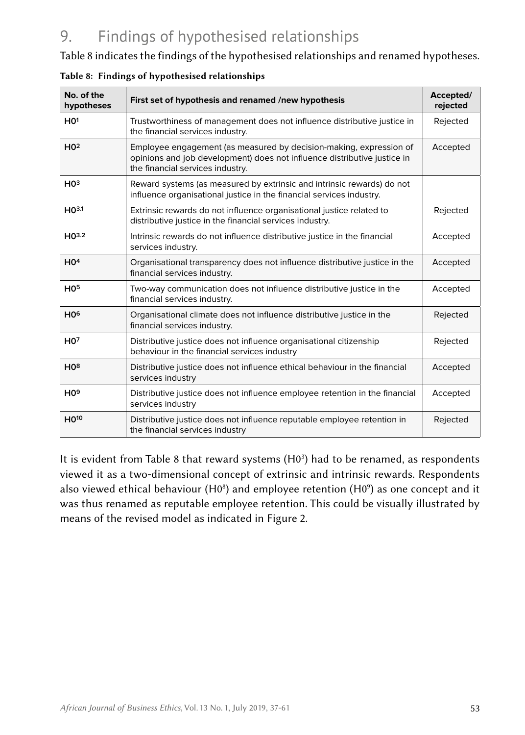## 9. Findings of hypothesised relationships

Table 8 indicates the findings of the hypothesised relationships and renamed hypotheses.

| No. of the<br>hypotheses    | First set of hypothesis and renamed /new hypothesis                                                                                                                                | Accepted/<br>rejected |
|-----------------------------|------------------------------------------------------------------------------------------------------------------------------------------------------------------------------------|-----------------------|
| HO <sup>1</sup>             | Trustworthiness of management does not influence distributive justice in<br>the financial services industry.                                                                       | Rejected              |
| H <sup>2</sup>              | Employee engagement (as measured by decision-making, expression of<br>opinions and job development) does not influence distributive justice in<br>the financial services industry. | Accepted              |
| H0 <sup>3</sup>             | Reward systems (as measured by extrinsic and intrinsic rewards) do not<br>influence organisational justice in the financial services industry.                                     |                       |
| H <sub>0</sub> 3.1          | Extrinsic rewards do not influence organisational justice related to<br>distributive justice in the financial services industry.                                                   | Rejected              |
| H <sub>0</sub> 3.2          | Intrinsic rewards do not influence distributive justice in the financial<br>services industry.                                                                                     | Accepted              |
| HO <sup>4</sup>             | Organisational transparency does not influence distributive justice in the<br>financial services industry.                                                                         | Accepted              |
| H <sub>0</sub> 5            | Two-way communication does not influence distributive justice in the<br>financial services industry.                                                                               | Accepted              |
| H <sub>0</sub> <sup>6</sup> | Organisational climate does not influence distributive justice in the<br>financial services industry.                                                                              | Rejected              |
| HO <sup>7</sup>             | Distributive justice does not influence organisational citizenship<br>behaviour in the financial services industry                                                                 | Rejected              |
| H0 <sup>8</sup>             | Distributive justice does not influence ethical behaviour in the financial<br>services industry                                                                                    | Accepted              |
| H <sub>0</sub> <sup>9</sup> | Distributive justice does not influence employee retention in the financial<br>services industry                                                                                   | Accepted              |
| H <sub>010</sub>            | Distributive justice does not influence reputable employee retention in<br>the financial services industry                                                                         | Rejected              |

|  |  | Table 8: Findings of hypothesised relationships |  |
|--|--|-------------------------------------------------|--|
|--|--|-------------------------------------------------|--|

It is evident from Table 8 that reward systems  $(H0<sup>3</sup>)$  had to be renamed, as respondents viewed it as a two‑dimensional concept of extrinsic and intrinsic rewards. Respondents also viewed ethical behaviour (H0<sup>8</sup>) and employee retention (H0<sup>9</sup>) as one concept and it was thus renamed as reputable employee retention. This could be visually illustrated by means of the revised model as indicated in Figure 2.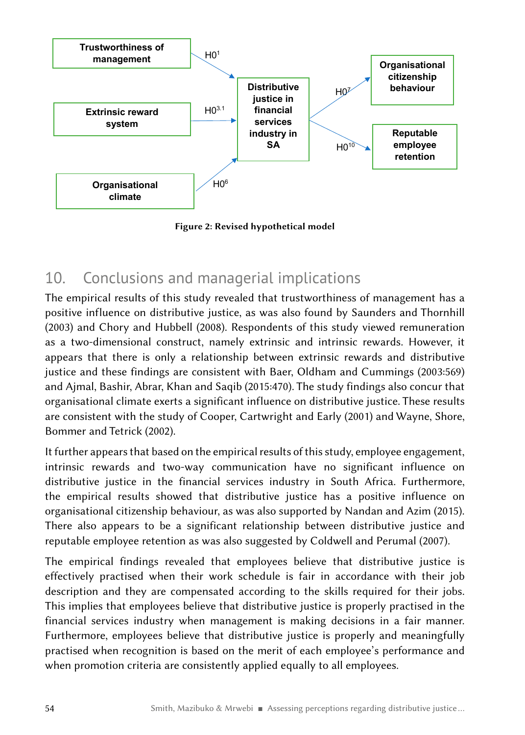

Figure 2: Revised hypothetical model

### 10. Conclusions and managerial implications

The empirical results of this study revealed that trustworthiness of management has a positive influence on distributive justice, as was also found by Saunders and Thornhill (2003) and Chory and Hubbell (2008). Respondents of this study viewed remuneration as a two-dimensional construct, namely extrinsic and intrinsic rewards. However, it appears that there is only a relationship between extrinsic rewards and distributive justice and these findings are consistent with Baer, Oldham and Cummings (2003:569) and Ajmal, Bashir, Abrar, Khan and Saqib (2015:470). The study findings also concur that organisational climate exerts a significant influence on distributive justice. These results are consistent with the study of Cooper, Cartwright and Early (2001) and Wayne, Shore, Bommer and Tetrick (2002).

It further appears that based on the empirical results of this study, employee engagement, intrinsic rewards and two‑way communication have no significant influence on distributive justice in the financial services industry in South Africa. Furthermore, the empirical results showed that distributive justice has a positive influence on organisational citizenship behaviour, as was also supported by Nandan and Azim (2015). There also appears to be a significant relationship between distributive justice and reputable employee retention as was also suggested by Coldwell and Perumal (2007).

The empirical findings revealed that employees believe that distributive justice is effectively practised when their work schedule is fair in accordance with their job description and they are compensated according to the skills required for their jobs. This implies that employees believe that distributive justice is properly practised in the financial services industry when management is making decisions in a fair manner. Furthermore, employees believe that distributive justice is properly and meaningfully practised when recognition is based on the merit of each employee's performance and when promotion criteria are consistently applied equally to all employees.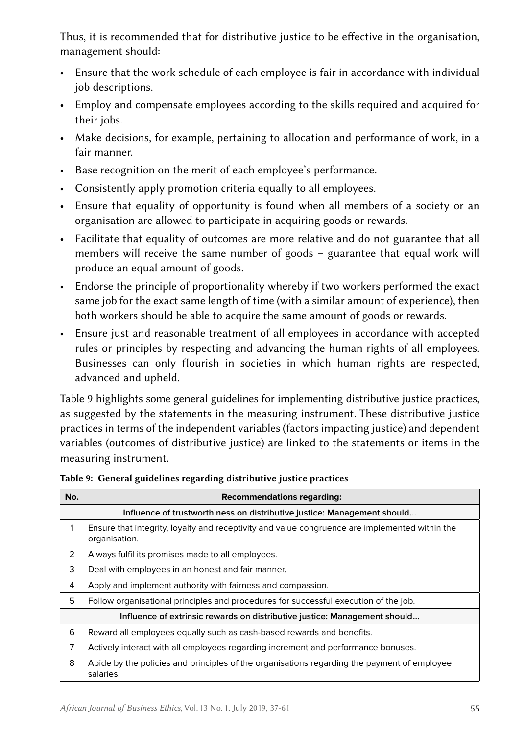Thus, it is recommended that for distributive justice to be effective in the organisation, management should:

- Ensure that the work schedule of each employee is fair in accordance with individual job descriptions.
- Employ and compensate employees according to the skills required and acquired for their jobs.
- Make decisions, for example, pertaining to allocation and performance of work, in a fair manner.
- Base recognition on the merit of each employee's performance.
- Consistently apply promotion criteria equally to all employees.
- Ensure that equality of opportunity is found when all members of a society or an organisation are allowed to participate in acquiring goods or rewards.
- Facilitate that equality of outcomes are more relative and do not guarantee that all members will receive the same number of goods – guarantee that equal work will produce an equal amount of goods.
- Endorse the principle of proportionality whereby if two workers performed the exact same job for the exact same length of time (with a similar amount of experience), then both workers should be able to acquire the same amount of goods or rewards.
- Ensure just and reasonable treatment of all employees in accordance with accepted rules or principles by respecting and advancing the human rights of all employees. Businesses can only flourish in societies in which human rights are respected, advanced and upheld.

Table 9 highlights some general guidelines for implementing distributive justice practices, as suggested by the statements in the measuring instrument. These distributive justice practices in terms of the independent variables (factors impacting justice) and dependent variables (outcomes of distributive justice) are linked to the statements or items in the measuring instrument.

| No.                                                                       | <b>Recommendations regarding:</b>                                                                               |  |  |
|---------------------------------------------------------------------------|-----------------------------------------------------------------------------------------------------------------|--|--|
|                                                                           | Influence of trustworthiness on distributive justice: Management should                                         |  |  |
| 1                                                                         | Ensure that integrity, loyalty and receptivity and value congruence are implemented within the<br>organisation. |  |  |
| 2                                                                         | Always fulfil its promises made to all employees.                                                               |  |  |
| 3                                                                         | Deal with employees in an honest and fair manner.                                                               |  |  |
| 4                                                                         | Apply and implement authority with fairness and compassion.                                                     |  |  |
| 5                                                                         | Follow organisational principles and procedures for successful execution of the job.                            |  |  |
| Influence of extrinsic rewards on distributive justice: Management should |                                                                                                                 |  |  |
| 6                                                                         | Reward all employees equally such as cash-based rewards and benefits.                                           |  |  |
| 7                                                                         | Actively interact with all employees regarding increment and performance bonuses.                               |  |  |
| 8                                                                         | Abide by the policies and principles of the organisations regarding the payment of employee<br>salaries.        |  |  |

Table 9: General guidelines regarding distributive justice practices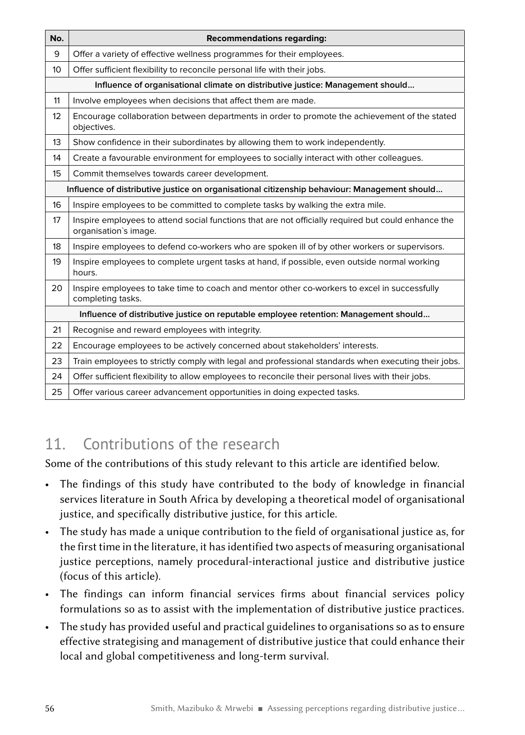| No.                                                                                          | <b>Recommendations regarding:</b>                                                                                            |  |  |
|----------------------------------------------------------------------------------------------|------------------------------------------------------------------------------------------------------------------------------|--|--|
| 9                                                                                            | Offer a variety of effective wellness programmes for their employees.                                                        |  |  |
| 10                                                                                           | Offer sufficient flexibility to reconcile personal life with their jobs.                                                     |  |  |
|                                                                                              | Influence of organisational climate on distributive justice: Management should                                               |  |  |
| 11                                                                                           | Involve employees when decisions that affect them are made.                                                                  |  |  |
| 12                                                                                           | Encourage collaboration between departments in order to promote the achievement of the stated<br>objectives.                 |  |  |
| 13                                                                                           | Show confidence in their subordinates by allowing them to work independently.                                                |  |  |
| 14                                                                                           | Create a favourable environment for employees to socially interact with other colleagues.                                    |  |  |
| 15                                                                                           | Commit themselves towards career development.                                                                                |  |  |
| Influence of distributive justice on organisational citizenship behaviour: Management should |                                                                                                                              |  |  |
| 16                                                                                           | Inspire employees to be committed to complete tasks by walking the extra mile.                                               |  |  |
| 17                                                                                           | Inspire employees to attend social functions that are not officially required but could enhance the<br>organisation's image. |  |  |
| 18                                                                                           | Inspire employees to defend co-workers who are spoken ill of by other workers or supervisors.                                |  |  |
| 19                                                                                           | Inspire employees to complete urgent tasks at hand, if possible, even outside normal working<br>hours.                       |  |  |
| 20                                                                                           | Inspire employees to take time to coach and mentor other co-workers to excel in successfully<br>completing tasks.            |  |  |
|                                                                                              | Influence of distributive justice on reputable employee retention: Management should                                         |  |  |
| 21                                                                                           | Recognise and reward employees with integrity.                                                                               |  |  |
| 22                                                                                           | Encourage employees to be actively concerned about stakeholders' interests.                                                  |  |  |
| 23                                                                                           | Train employees to strictly comply with legal and professional standards when executing their jobs.                          |  |  |
| 24                                                                                           | Offer sufficient flexibility to allow employees to reconcile their personal lives with their jobs.                           |  |  |
| 25                                                                                           | Offer various career advancement opportunities in doing expected tasks.                                                      |  |  |

## 11 Contributions of the research

Some of the contributions of this study relevant to this article are identified below.

- The findings of this study have contributed to the body of knowledge in financial services literature in South Africa by developing a theoretical model of organisational justice, and specifically distributive justice, for this article.
- The study has made a unique contribution to the field of organisational justice as, for the first time in the literature, it has identified two aspects of measuring organisational justice perceptions, namely procedural-interactional justice and distributive justice (focus of this article).
- The findings can inform financial services firms about financial services policy formulations so as to assist with the implementation of distributive justice practices.
- The study has provided useful and practical guidelines to organisations so as to ensure effective strategising and management of distributive justice that could enhance their local and global competitiveness and long-term survival.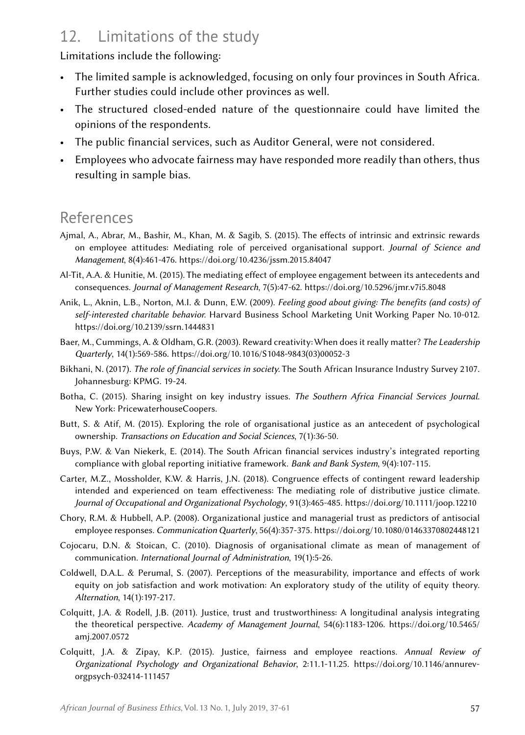## 12. Limitations of the study

Limitations include the following:

- The limited sample is acknowledged, focusing on only four provinces in South Africa. Further studies could include other provinces as well.
- The structured closed-ended nature of the questionnaire could have limited the opinions of the respondents.
- The public financial services, such as Auditor General, were not considered.
- Employees who advocate fairness may have responded more readily than others, thus resulting in sample bias.

### References

- Ajmal, A., Abrar, M., Bashir, M., Khan, M. & Sagib, S. (2015). The effects of intrinsic and extrinsic rewards on employee attitudes: Mediating role of perceived organisational support. *Journal of Science and Management*, 8(4):461‑476.<https://doi.org/10.4236/jssm.2015.84047>
- Al-Tit, A.A. & Hunitie, M. (2015). The mediating effect of employee engagement between its antecedents and consequences. *Journal of Management Research*, 7(5):47‑62. <https://doi.org/10.5296/jmr.v7i5.8048>
- Anik, L., Aknin, L.B., Norton, M.I. & Dunn, E.W. (2009). *Feeling good about giving: The benefits (and costs) of self-interested charitable behavior.* Harvard Business School Marketing Unit Working Paper No. 10‑012. <https://doi.org/10.2139/ssrn.1444831>
- Baer, M., Cummings, A. & Oldham, G.R. (2003). Reward creativity: When does it really matter? *The Leadership Quarterly*, 14(1):569‑586. [https://doi.org/10.1016/S1048-9843\(03\)00052-3](https://doi.org/10.1016/S1048-9843(03)00052-3)
- Bikhani, N. (2017). *The role of financial services in society.* The South African Insurance Industry Survey 2107. Johannesburg: KPMG. 19‑24.
- Botha, C. (2015). Sharing insight on key industry issues. *The Southern Africa Financial Services Journal*. New York: PricewaterhouseCoopers.
- Butt, S. & Atif, M. (2015). Exploring the role of organisational justice as an antecedent of psychological ownership. *Transactions on Education and Social Sciences*, 7(1):36‑50.
- Buys, P.W. & Van Niekerk, E. (2014). The South African financial services industry's integrated reporting compliance with global reporting initiative framework. *Bank and Bank System*, 9(4):107‑115.
- Carter, M.Z., Mossholder, K.W. & Harris, J.N. (2018). Congruence effects of contingent reward leadership intended and experienced on team effectiveness: The mediating role of distributive justice climate. *Journal of Occupational and Organizational Psychology*, 91(3):465‑485.<https://doi.org/10.1111/joop.12210>
- Chory, R.M. & Hubbell, A.P. (2008). Organizational justice and managerial trust as predictors of antisocial employee responses. *Communication Quarterly*, 56(4):357‑375.<https://doi.org/10.1080/01463370802448121>
- Cojocaru, D.N. & Stoican, C. (2010). Diagnosis of organisational climate as mean of management of communication. *International Journal of Administration*, 19(1):5‑26.
- Coldwell, D.A.L. & Perumal, S. (2007). Perceptions of the measurability, importance and effects of work equity on job satisfaction and work motivation: An exploratory study of the utility of equity theory. *Alternation*, 14(1):197‑217.
- Colquitt, J.A. & Rodell, J.B. (2011). Justice, trust and trustworthiness: A longitudinal analysis integrating the theoretical perspective. *Academy of Management Journal*, 54(6):1183‑1206. [https://doi.org/10.5465/](https://doi.org/10.5465/amj.2007.0572) [amj.2007.0572](https://doi.org/10.5465/amj.2007.0572)
- Colquitt, J.A. & Zipay, K.P. (2015). Justice, fairness and employee reactions. *Annual Review of Organizational Psychology and Organizational Behavior*, 2:11.1‑11.25. [https://doi.org/10.1146/annurev](https://doi.org/10.1146/annurev-orgpsych-032414-111457)[orgpsych-032414-111457](https://doi.org/10.1146/annurev-orgpsych-032414-111457)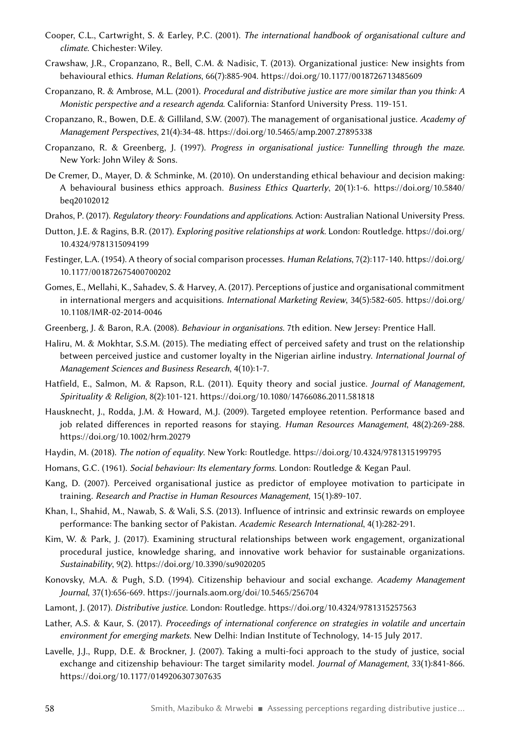- Cooper, C.L., Cartwright, S. & Earley, P.C. (2001). *The international handbook of organisational culture and climate*. Chichester: Wiley.
- Crawshaw, J.R., Cropanzano, R., Bell, C.M. & Nadisic, T. (2013). Organizational justice: New insights from behavioural ethics. *Human Relations*, 66(7):885‑904. <https://doi.org/10.1177/0018726713485609>
- Cropanzano, R. & Ambrose, M.L. (2001). *Procedural and distributive justice are more similar than you think: A Monistic perspective and a research agenda*. California: Stanford University Press. 119‑151.
- Cropanzano, R., Bowen, D.E. & Gilliland, S.W. (2007). The management of organisational justice. *Academy of Management Perspectives*, 21(4):34‑48.<https://doi.org/10.5465/amp.2007.27895338>
- Cropanzano, R. & Greenberg, J. (1997). *Progress in organisational justice: Tunnelling through the maze.* New York: John Wiley & Sons.
- De Cremer, D., Mayer, D. & Schminke, M. (2010). On understanding ethical behaviour and decision making: A behavioural business ethics approach. *Business Ethics Quarterly*, 20(1):1‑6. [https://doi.org/10.5840/](https://doi.org/10.5840/beq20102012) [beq20102012](https://doi.org/10.5840/beq20102012)
- Drahos, P. (2017). *Regulatory theory: Foundations and applications*. Action: Australian National University Press.
- Dutton, J.E. & Ragins, B.R. (2017). *Exploring positive relationships at work*. London: Routledge. [https://doi.org/](https://doi.org/10.4324/9781315094199) [10.4324/9781315094199](https://doi.org/10.4324/9781315094199)
- Festinger, L.A. (1954). A theory of social comparison processes. *Human Relations*, 7(2):117‑140. [https://doi.org/](https://doi.org/10.1177/001872675400700202) [10.1177/001872675400700202](https://doi.org/10.1177/001872675400700202)
- Gomes, E., Mellahi, K., Sahadev, S. & Harvey, A. (2017). Perceptions of justice and organisational commitment in international mergers and acquisitions. *International Marketing Review*, 34(5):582‑605. [https://doi.org/](https://doi.org/10.1108/IMR-02-2014-0046) [10.1108/IMR-02-2014-0046](https://doi.org/10.1108/IMR-02-2014-0046)
- Greenberg, J. & Baron, R.A. (2008). *Behaviour in organisations*. 7th edition. New Jersey: Prentice Hall.
- Haliru, M. & Mokhtar, S.S.M. (2015). The mediating effect of perceived safety and trust on the relationship between perceived justice and customer loyalty in the Nigerian airline industry. *International Journal of Management Sciences and Business Research*, 4(10):1‑7.
- Hatfield, E., Salmon, M. & Rapson, R.L. (2011). Equity theory and social justice. *Journal of Management, Spirituality & Religion*, 8(2):101‑121.<https://doi.org/10.1080/14766086.2011.581818>
- Hausknecht, J., Rodda, J.M. & Howard, M.J. (2009). Targeted employee retention. Performance based and job related differences in reported reasons for staying. *Human Resources Management*, 48(2):269‑288. <https://doi.org/10.1002/hrm.20279>
- Haydin, M. (2018). *The notion of equality*. New York: Routledge.<https://doi.org/10.4324/9781315199795>
- Homans, G.C. (1961). *Social behaviour: Its elementary forms*. London: Routledge & Kegan Paul.
- Kang, D. (2007). Perceived organisational justice as predictor of employee motivation to participate in training. *Research and Practise in Human Resources Management*, 15(1):89‑107.
- Khan, I., Shahid, M., Nawab, S. & Wali, S.S. (2013). Influence of intrinsic and extrinsic rewards on employee performance: The banking sector of Pakistan. *Academic Research International*, 4(1):282‑291.
- Kim, W. & Park, J. (2017). Examining structural relationships between work engagement, organizational procedural justice, knowledge sharing, and innovative work behavior for sustainable organizations. *Sustainability*, 9(2). <https://doi.org/10.3390/su9020205>
- Konovsky, M.A. & Pugh, S.D. (1994). Citizenship behaviour and social exchange. *Academy Management Journal*, 37(1):656‑669.<https://journals.aom.org/doi/10.5465/256704>
- Lamont, J. (2017). *Distributive justice*. London: Routledge. <https://doi.org/10.4324/9781315257563>
- Lather, A.S. & Kaur, S. (2017). *Proceedings of international conference on strategies in volatile and uncertain environment for emerging markets*. New Delhi: Indian Institute of Technology, 14‑15 July 2017.
- Lavelle, J.J., Rupp, D.E. & Brockner, J. (2007). Taking a multi-foci approach to the study of justice, social exchange and citizenship behaviour: The target similarity model. *Journal of Management*, 33(1):841‑866. <https://doi.org/10.1177/0149206307307635>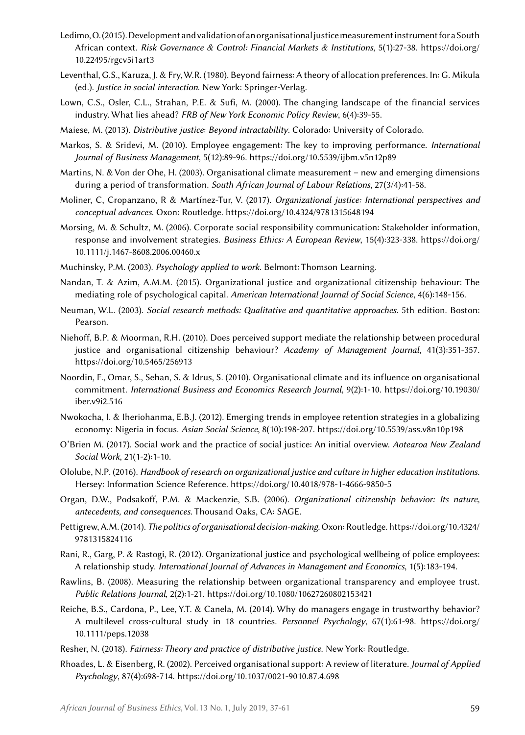- Ledimo, O. (2015). Development and validation of an organisational justice measurement instrument for a South African context. *Risk Governance & Control: Financial Markets & Institutions*, 5(1):27‑38. [https://doi.org/](https://doi.org/10.22495/rgcv5i1art3) [10.22495/rgcv5i1art3](https://doi.org/10.22495/rgcv5i1art3)
- Leventhal, G.S., Karuza, J. & Fry, W.R. (1980). Beyond fairness: A theory of allocation preferences. In: G. Mikula (ed.). *Justice in social interaction*. New York: Springer-Verlag.
- Lown, C.S., Osler, C.L., Strahan, P.E. & Sufi, M. (2000). The changing landscape of the financial services industry. What lies ahead? *FRB of New York Economic Policy Review*, 6(4):39‑55.
- Maiese, M. (2013). *Distributive justice*: *Beyond intractability*. Colorado: University of Colorado.
- Markos, S. & Sridevi, M. (2010). Employee engagement: The key to improving performance. *International Journal of Business Management*, 5(12):89‑96. <https://doi.org/10.5539/ijbm.v5n12p89>
- Martins, N. & Von der Ohe, H. (2003). Organisational climate measurement new and emerging dimensions during a period of transformation. *South African Journal of Labour Relations*, 27(3/4):41‑58.
- Moliner, C, Cropanzano, R & Martínez-Tur, V. (2017). *Organizational justice: International perspectives and conceptual advances*. Oxon: Routledge.<https://doi.org/10.4324/9781315648194>
- Morsing, M. & Schultz, M. (2006). Corporate social responsibility communication: Stakeholder information, response and involvement strategies. *Business Ethics: A European Review*, 15(4):323‑338. [https://doi.org/](https://doi.org/10.1111/j.1467-8608.2006.00460.x) [10.1111/j.1467-8608.2006.00460.x](https://doi.org/10.1111/j.1467-8608.2006.00460.x)
- Muchinsky, P.M. (2003). *Psychology applied to work.* Belmont: Thomson Learning.
- Nandan, T. & Azim, A.M.M. (2015). Organizational justice and organizational citizenship behaviour: The mediating role of psychological capital. *American International Journal of Social Science*, 4(6):148‑156.
- Neuman, W.L. (2003). *Social research methods: Qualitative and quantitative approaches*. 5th edition. Boston: Pearson.
- Niehoff, B.P. & Moorman, R.H. (2010). Does perceived support mediate the relationship between procedural justice and organisational citizenship behaviour? *Academy of Management Journal*, 41(3):351-357. <https://doi.org/10.5465/256913>
- Noordin, F., Omar, S., Sehan, S. & Idrus, S. (2010). Organisational climate and its influence on organisational commitment. *International Business and Economics Research Journal*, 9(2):1‑10. [https://doi.org/10.19030/](https://doi.org/10.19030/iber.v9i2.516) [iber.v9i2.516](https://doi.org/10.19030/iber.v9i2.516)
- Nwokocha, I. & Iheriohanma, E.B.J. (2012). Emerging trends in employee retention strategies in a globalizing economy: Nigeria in focus. *Asian Social Science*, 8(10):198‑207. <https://doi.org/10.5539/ass.v8n10p198>
- O'Brien M. (2017). Social work and the practice of social justice: An initial overview. *Aotearoa New Zealand Social Work*, 21(1‑2):1‑10.
- Ololube, N.P. (2016). *Handbook of research on organizational justice and culture in higher education institutions*. Hersey: Information Science Reference.<https://doi.org/10.4018/978-1-4666-9850-5>
- Organ, D.W., Podsakoff, P.M. & Mackenzie, S.B. (2006). *Organizational citizenship behavior: Its nature, antecedents, and consequences*. Thousand Oaks, CA: SAGE.
- Pettigrew, A.M. (2014). *The politics of organisational decision-making*. Oxon: Routledge. [https://doi.org/10.4324/](https://doi.org/10.4324/9781315824116) [9781315824116](https://doi.org/10.4324/9781315824116)
- Rani, R., Garg, P. & Rastogi, R. (2012). Organizational justice and psychological wellbeing of police employees: A relationship study. *International Journal of Advances in Management and Economics*, 1(5):183‑194.
- Rawlins, B. (2008). Measuring the relationship between organizational transparency and employee trust. *Public Relations Journal*, 2(2):1‑21. <https://doi.org/10.1080/10627260802153421>
- Reiche, B.S., Cardona, P., Lee, Y.T. & Canela, M. (2014). Why do managers engage in trustworthy behavior? A multilevel cross-cultural study in 18 countries. *Personnel Psychology*, 67(1):61‑98. [https://doi.org/](https://doi.org/10.1111/peps.12038) [10.1111/peps.12038](https://doi.org/10.1111/peps.12038)
- Resher, N. (2018). *Fairness: Theory and practice of distributive justice*. New York: Routledge.
- Rhoades, L. & Eisenberg, R. (2002). Perceived organisational support: A review of literature. *Journal of Applied Psychology*, 87(4):698‑714. <https://doi.org/10.1037/0021-9010.87.4.698>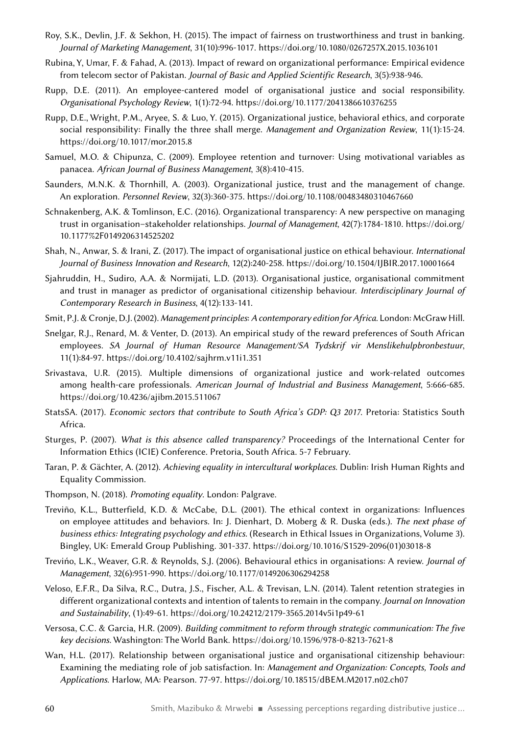- Roy, S.K., Devlin, J.F. & Sekhon, H. (2015). The impact of fairness on trustworthiness and trust in banking. *Journal of Marketing Management*, 31(10):996‑1017. <https://doi.org/10.1080/0267257X.2015.1036101>
- Rubina, Y, Umar, F. & Fahad, A. (2013). Impact of reward on organizational performance: Empirical evidence from telecom sector of Pakistan. *Journal of Basic and Applied Scientific Research*, 3(5):938‑946.
- Rupp, D.E. (2011). An employee-cantered model of organisational justice and social responsibility. *Organisational Psychology Review*, 1(1):72‑94. <https://doi.org/10.1177/2041386610376255>
- Rupp, D.E., Wright, P.M., Aryee, S. & Luo, Y. (2015). Organizational justice, behavioral ethics, and corporate social responsibility: Finally the three shall merge. *Management and Organization Review*, 11(1):15‑24. <https://doi.org/10.1017/mor.2015.8>
- Samuel, M.O. & Chipunza, C. (2009). Employee retention and turnover: Using motivational variables as panacea. *African Journal of Business Management*, 3(8):410‑415.
- Saunders, M.N.K. & Thornhill, A. (2003). Organizational justice, trust and the management of change. An exploration. *Personnel Review*, 32(3):360‑375. <https://doi.org/10.1108/00483480310467660>
- Schnakenberg, A.K. & Tomlinson, E.C. (2016). Organizational transparency: A new perspective on managing trust in organisation–stakeholder relationships. *Journal of Management*, 42(7):1784‑1810. [https://doi.org/](https://doi.org/10.1177%2F0149206314525202) [10.1177%2F0149206314525202](https://doi.org/10.1177%2F0149206314525202)
- Shah, N., Anwar, S. & Irani, Z. (2017). The impact of organisational justice on ethical behaviour. *International Journal of Business Innovation and Research*, 12(2):240‑258. <https://doi.org/10.1504/IJBIR.2017.10001664>
- Sjahruddin, H., Sudiro, A.A. & Normijati, L.D. (2013). Organisational justice, organisational commitment and trust in manager as predictor of organisational citizenship behaviour. *Interdisciplinary Journal of Contemporary Research in Business*, 4(12):133‑141.
- Smit, P.J. & Cronje, D.J. (2002). *Management principles*: *A contemporary edition forAfrica*. London: McGraw Hill.
- Snelgar, R.J., Renard, M. & Venter, D. (2013). An empirical study of the reward preferences of South African employees. *SA Journal of Human Resource Management/SA Tydskrif vir Menslikehulpbronbestuur*, 11(1):84‑97. <https://doi.org/10.4102/sajhrm.v11i1.351>
- Srivastava, U.R. (2015). Multiple dimensions of organizational justice and work-related outcomes among health-care professionals. American Journal of Industrial and Business Management, 5:666-685. <https://doi.org/10.4236/ajibm.2015.511067>
- StatsSA. (2017). *Economic sectors that contribute to South Africa's GDP: Q3 2017*. Pretoria: Statistics South Africa.
- Sturges, P. (2007). *What is this absence called transparency?* Proceedings of the International Center for Information Ethics (ICIE) Conference. Pretoria, South Africa. 5‑7 February.
- Taran, P. & Gächter, A. (2012). *Achieving equality in intercultural workplaces*. Dublin: Irish Human Rights and Equality Commission.
- Thompson, N. (2018). *Promoting equality*. London: Palgrave.
- Treviño, K.L., Butterfield, K.D. & McCabe, D.L. (2001). The ethical context in organizations: Influences on employee attitudes and behaviors. In: J. Dienhart, D. Moberg & R. Duska (eds.). *The next phase of business ethics: Integrating psychology and ethics.* (Research in Ethical Issues in Organizations, Volume 3)*.* Bingley, UK: Emerald Group Publishing. 301‑337. [https://doi.org/10.1016/S1529-2096\(01\)03018-8](https://doi.org/10.1016/S1529-2096(01)03018-8)
- Trevińo, L.K., Weaver, G.R. & Reynolds, S.J. (2006). Behavioural ethics in organisations: A review. *Journal of Management*, 32(6):951‑990.<https://doi.org/10.1177/0149206306294258>
- Veloso, E.F.R., Da Silva, R.C., Dutra, J.S., Fischer, A.L. & Trevisan, L.N. (2014). Talent retention strategies in different organizational contexts and intention of talents to remain in the company. *Journal on Innovation and Sustainability*, (1):49‑61.<https://doi.org/10.24212/2179-3565.2014v5i1p49-61>
- Versosa, C.C. & Garcia, H.R. (2009). *Building commitment to reform through strategic communication: The five key decisions*. Washington: The World Bank. <https://doi.org/10.1596/978-0-8213-7621-8>
- Wan, H.L. (2017). Relationship between organisational justice and organisational citizenship behaviour: Examining the mediating role of job satisfaction. In: *Management and Organization: Concepts, Tools and Applications*. Harlow, MA: Pearson. 77‑97.<https://doi.org/10.18515/dBEM.M2017.n02.ch07>